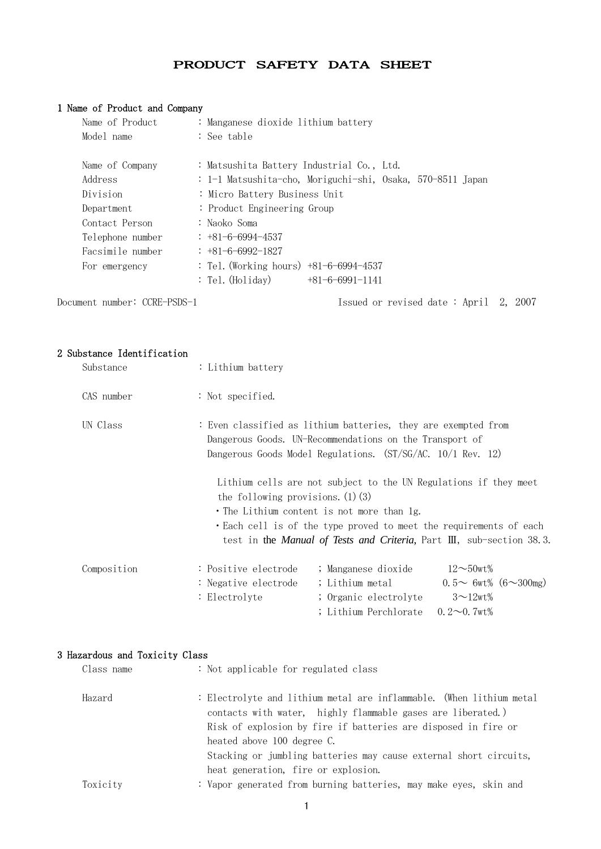# PRODUCT SAFETY DATA SHEET

# 1 Name of Product and Company

| Name of Product              | : Manganese dioxide lithium battery                        |
|------------------------------|------------------------------------------------------------|
| Model name                   | : See table                                                |
| Name of Company              | : Matsushita Battery Industrial Co., Ltd.                  |
| Address                      | : 1-1 Matsushita-cho, Moriguchi-shi, Osaka, 570-8511 Japan |
| Division                     | : Micro Battery Business Unit                              |
| Department                   | : Product Engineering Group                                |
| Contact Person               | : Naoko Soma                                               |
| Telephone number             | $: +81 - 6 - 6994 - 4537$                                  |
| Facsimile number             | $: +81 - 6 - 6992 - 1827$                                  |
| For emergency                | : Tel. (Working hours) $+81-6-6994-4537$                   |
|                              | : Tel. (Holiday)<br>$+81-6-6991-1141$                      |
| Document number: CCRE-PSDS-1 | Issued or revised date: April 2, 2007                      |

2 Substance Identification

| Substance   | : Lithium battery                                                                                                                                                                        |                                                                                          |                                                                                                                                                                                                                         |
|-------------|------------------------------------------------------------------------------------------------------------------------------------------------------------------------------------------|------------------------------------------------------------------------------------------|-------------------------------------------------------------------------------------------------------------------------------------------------------------------------------------------------------------------------|
| CAS number  | : Not specified.                                                                                                                                                                         |                                                                                          |                                                                                                                                                                                                                         |
| UN Class    | : Even classified as lithium batteries, they are exempted from<br>Dangerous Goods. UN-Recommendations on the Transport of<br>Dangerous Goods Model Regulations. (ST/SG/AC. 10/1 Rev. 12) |                                                                                          |                                                                                                                                                                                                                         |
|             | the following provisions. $(1)(3)$<br>• The Lithium content is not more than 1g.                                                                                                         |                                                                                          | Lithium cells are not subject to the UN Regulations if they meet<br>• Each cell is of the type proved to meet the requirements of each<br>test in the <i>Manual of Tests and Criteria</i> , Part III, sub-section 38.3. |
| Composition | : Positive electrode<br>: Negative electrode<br>: Electrolyte                                                                                                                            | ; Manganese dioxide<br>; Lithium metal<br>; Organic electrolyte<br>; Lithium Perchlorate | $12\sim50$ wt%<br>$0.5 \sim 6$ wt% $(6 \sim 300$ mg)<br>$3 \sim 12$ wt%<br>$0.2 \sim 0.7$ wt <sup>%</sup>                                                                                                               |

# 3 Hazardous and Toxicity Class

| Class name | : Not applicable for regulated class                                                                                                                                                                                                |  |  |  |  |
|------------|-------------------------------------------------------------------------------------------------------------------------------------------------------------------------------------------------------------------------------------|--|--|--|--|
| Hazard     | : Electrolyte and lithium metal are inflammable. (When lithium metal<br>contacts with water, highly flammable gases are liberated.)<br>Risk of explosion by fire if batteries are disposed in fire or<br>heated above 100 degree C. |  |  |  |  |
|            | Stacking or jumbling batteries may cause external short circuits,<br>heat generation, fire or explosion.                                                                                                                            |  |  |  |  |
| Toxicity   | : Vapor generated from burning batteries, may make eyes, skin and                                                                                                                                                                   |  |  |  |  |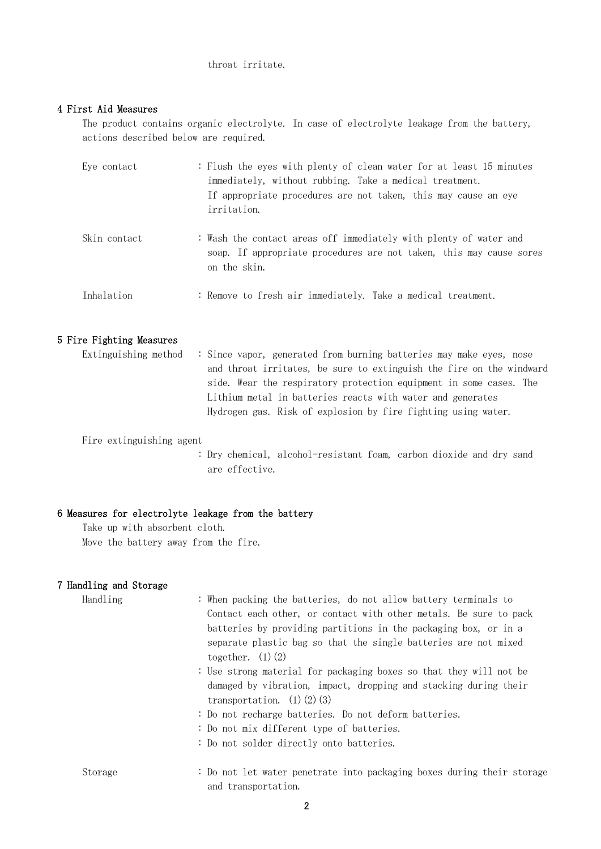### throat irritate.

## 4 First Aid Measures

 The product contains organic electrolyte. In case of electrolyte leakage from the battery, actions described below are required.

| Eve contact  | : Flush the eyes with plenty of clean water for at least 15 minutes<br>immediately, without rubbing. Take a medical treatment.<br>If appropriate procedures are not taken, this may cause an eye<br><i>irritation.</i> |
|--------------|------------------------------------------------------------------------------------------------------------------------------------------------------------------------------------------------------------------------|
| Skin contact | : Wash the contact areas off immediately with plenty of water and<br>soap. If appropriate procedures are not taken, this may cause sores<br>on the skin.                                                               |
| Inhalation   | : Remove to fresh air immediately. Take a medical treatment.                                                                                                                                                           |

# 5 Fire Fighting Measures

| Extinguishing method $\therefore$ Since vapor, generated from burning batteries may make eyes, nose |
|-----------------------------------------------------------------------------------------------------|
| and throat irritates, be sure to extinguish the fire on the windward                                |
| side. Wear the respiratory protection equipment in some cases. The                                  |
| Lithium metal in batteries reacts with water and generates                                          |
| Hydrogen gas. Risk of explosion by fire fighting using water.                                       |

Fire extinguishing agent

 : Dry chemical, alcohol-resistant foam, carbon dioxide and dry sand are effective.

# 6 Measures for electrolyte leakage from the battery

 Take up with absorbent cloth. Move the battery away from the fire.

## 7 Handling and Storage

| Handling | : When packing the batteries, do not allow battery terminals to<br>Contact each other, or contact with other metals. Be sure to pack<br>batteries by providing partitions in the packaging box, or in a<br>separate plastic bag so that the single batteries are not mixed<br>together. $(1)(2)$<br>: Use strong material for packaging boxes so that they will not be<br>damaged by vibration, impact, dropping and stacking during their<br>transportation. $(1)$ $(2)$ $(3)$<br>: Do not recharge batteries. Do not deform batteries.<br>: Do not mix different type of batteries. |
|----------|---------------------------------------------------------------------------------------------------------------------------------------------------------------------------------------------------------------------------------------------------------------------------------------------------------------------------------------------------------------------------------------------------------------------------------------------------------------------------------------------------------------------------------------------------------------------------------------|
|          | : Do not solder directly onto batteries.                                                                                                                                                                                                                                                                                                                                                                                                                                                                                                                                              |
| Storage  | : Do not let water penetrate into packaging boxes during their storage<br>and transportation.                                                                                                                                                                                                                                                                                                                                                                                                                                                                                         |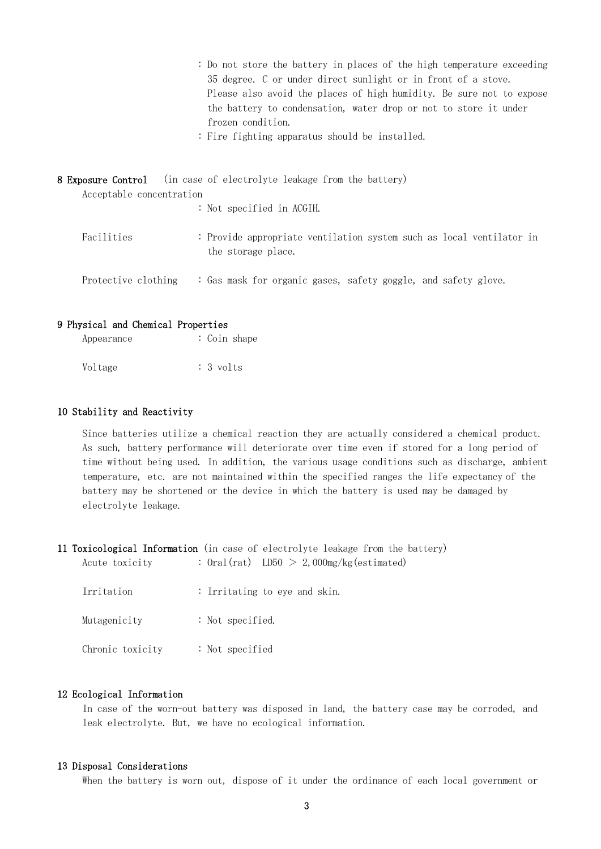|                   | : Do not store the battery in places of the high temperature exceeding |
|-------------------|------------------------------------------------------------------------|
|                   | 35 degree. C or under direct sunlight or in front of a stove.          |
|                   | Please also avoid the places of high humidity. Be sure not to expose   |
|                   | the battery to condensation, water drop or not to store it under       |
| frozen condition. |                                                                        |

: Fire fighting apparatus should be installed.

|                          | <b>8 Exposure Control</b> (in case of electrolyte leakage from the battery)                |  |
|--------------------------|--------------------------------------------------------------------------------------------|--|
| Acceptable concentration |                                                                                            |  |
|                          | : Not specified in ACGIH.                                                                  |  |
| Facilities               | : Provide appropriate ventilation system such as local ventilator in<br>the storage place. |  |
| Protective clothing      | : Gas mask for organic gases, safety goggle, and safety glove.                             |  |

#### 9 Physical and Chemical Properties

| Appearance | : Coin shape        |
|------------|---------------------|
| Voltage    | $: 3 \text{ volts}$ |

#### 10 Stability and Reactivity

 Since batteries utilize a chemical reaction they are actually considered a chemical product. As such, battery performance will deteriorate over time even if stored for a long period of time without being used. In addition, the various usage conditions such as discharge, ambient temperature, etc. are not maintained within the specified ranges the life expectancy of the battery may be shortened or the device in which the battery is used may be damaged by electrolyte leakage.

11 Toxicological Information (in case of electrolyte leakage from the battery) Acute toxicity :  $0 \text{ral}(\text{rat})$  LD50  $> 2,000 \text{mg/kg}(\text{estimated})$ 

| Irritation       | : Irritating to eye and skin. |
|------------------|-------------------------------|
| Mutagenicity     | : Not specified.              |
| Chronic toxicity | : Not specified               |

### 12 Ecological Information

 In case of the worn-out battery was disposed in land, the battery case may be corroded, and leak electrolyte. But, we have no ecological information.

### 13 Disposal Considerations

When the battery is worn out, dispose of it under the ordinance of each local government or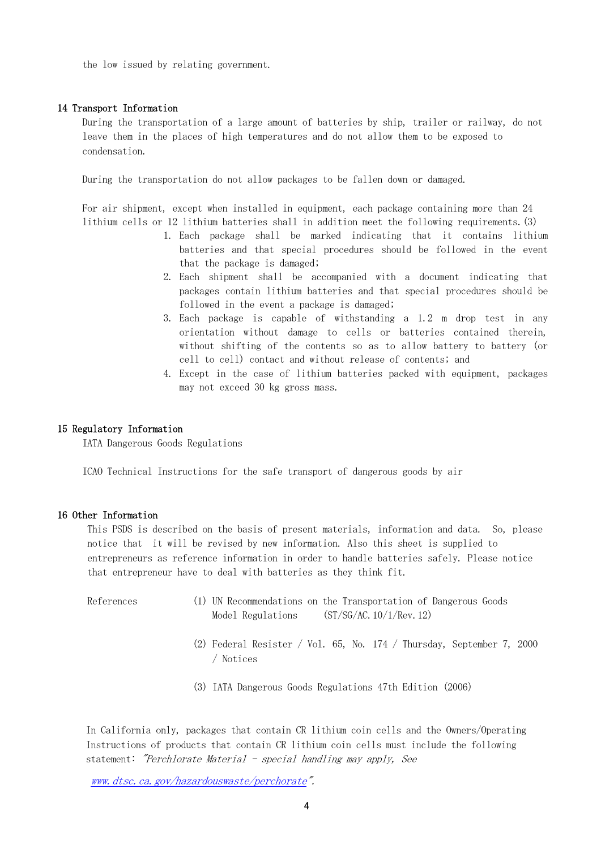the low issued by relating government.

#### 14 Transport Information

 During the transportation of a large amount of batteries by ship, trailer or railway, do not leave them in the places of high temperatures and do not allow them to be exposed to condensation.

During the transportation do not allow packages to be fallen down or damaged.

 For air shipment, except when installed in equipment, each package containing more than 24 lithium cells or 12 lithium batteries shall in addition meet the following requirements.(3)

- 1. Each package shall be marked indicating that it contains lithium batteries and that special procedures should be followed in the event that the package is damaged;
- 2. Each shipment shall be accompanied with a document indicating that packages contain lithium batteries and that special procedures should be followed in the event a package is damaged;
- 3. Each package is capable of withstanding a 1.2 m drop test in any orientation without damage to cells or batteries contained therein, without shifting of the contents so as to allow battery to battery (or cell to cell) contact and without release of contents; and
- 4. Except in the case of lithium batteries packed with equipment, packages may not exceed 30 kg gross mass.

#### 15 Regulatory Information

IATA Dangerous Goods Regulations

ICAO Technical Instructions for the safe transport of dangerous goods by air

#### 16 Other Information

 This PSDS is described on the basis of present materials, information and data. So, please notice that it will be revised by new information. Also this sheet is supplied to entrepreneurs as reference information in order to handle batteries safely. Please notice that entrepreneur have to deal with batteries as they think fit.

- References (1) UN Recommendations on the Transportation of Dangerous Goods Model Regulations (ST/SG/AC.10/1/Rev.12)
	- (2) Federal Resister / Vol. 65, No. 174 / Thursday, September 7, 2000 / Notices
	- (3) IATA Dangerous Goods Regulations 47th Edition(2006)

In California only, packages that contain CR lithium coin cells and the Owners/Operating Instructions of products that contain CR lithium coin cells must include the following statement: "Perchlorate Material - special handling may apply, See

[www.dtsc.ca.gov/hazardouswaste/perchorate](http://www.dtsc.ca.gov/hazardouswaste/perchorate)".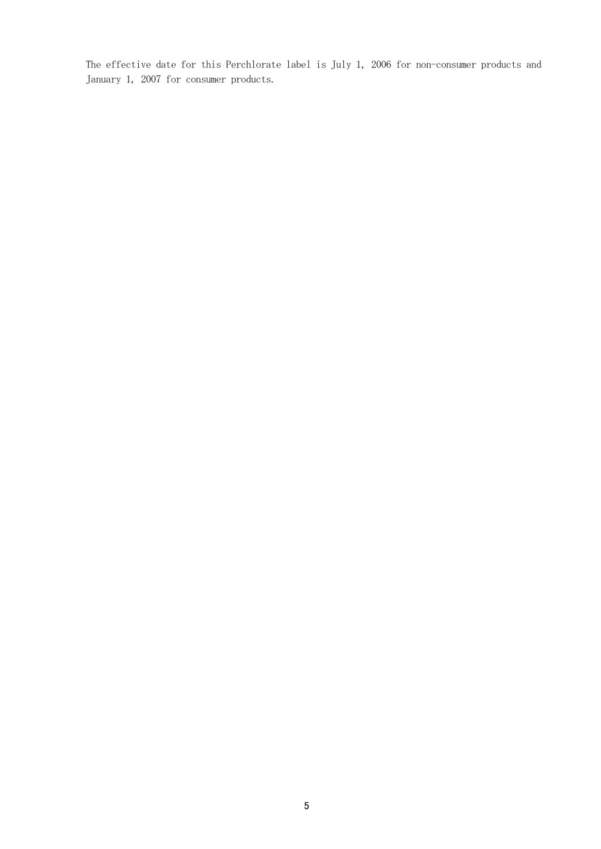The effective date for this Perchlorate label is July 1, 2006 for non-consumer products and January 1, 2007 for consumer products.